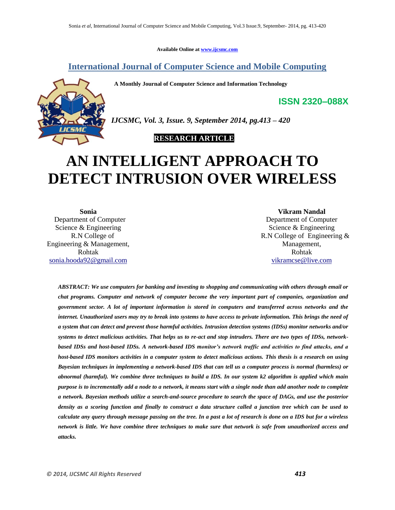**Available Online at www.ijcsmc.com**

# **International Journal of Computer Science and Mobile Computing**

 **A Monthly Journal of Computer Science and Information Technology**



*IJCSMC, Vol. 3, Issue. 9, September 2014, pg.413 – 420*

# **RESEARCH ARTICLE**

# **AN INTELLIGENT APPROACH TO DETECT INTRUSION OVER WIRELESS**

**Sonia** Department of Computer Science & Engineering R.N College of Engineering & Management, Rohtak sonia.hooda92@gmail.com

**Vikram Nandal** Department of Computer Science & Engineering R.N College of Engineering & Management, Rohtak vikramcse@live.com

**ISSN 2320–088X**

*ABSTRACT: We use computers for banking and investing to shopping and communicating with others through email or chat programs. Computer and network of computer become the very important part of companies, organization and government sector. A lot of important information is stored in computers and transferred across networks and the internet. Unauthorized users may try to break into systems to have access to private information. This brings the need of a system that can detect and prevent those harmful activities. Intrusion detection systems (IDSs) monitor networks and/or systems to detect malicious activities. That helps us to re-act and stop intruders. There are two types of IDSs, networkbased IDSs and host-based IDSs. A network-based IDS monitor's network traffic and activities to find attacks, and a host-based IDS monitors activities in a computer system to detect malicious actions. This thesis is a research on using Bayesian techniques in implementing a network-based IDS that can tell us a computer process is normal (harmless) or abnormal (harmful). We combine three techniques to build a IDS. In our system k2 algorithm is applied which main purpose is to incrementally add a node to a network, it means start with a single node than add another node to complete a network. Bayesian methods utilize a search-and-source procedure to search the space of DAGs, and use the posterior density as a scoring function and finally to construct a data structure called a junction tree which can be used to calculate any query through message passing on the tree. In a past a lot of research is done on a IDS but for a wireless network is little. We have combine three techniques to make sure that network is safe from unauthorized access and attacks.*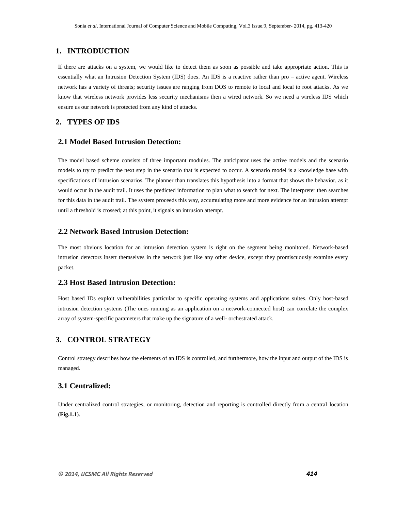# **1. INTRODUCTION**

If there are attacks on a system, we would like to detect them as soon as possible and take appropriate action. This is essentially what an Intrusion Detection System (IDS) does. An IDS is a reactive rather than pro – active agent. Wireless network has a variety of threats; security issues are ranging from DOS to remote to local and local to root attacks. As we know that wireless network provides less security mechanisms then a wired network. So we need a wireless IDS which ensure us our network is protected from any kind of attacks.

# **2. TYPES OF IDS**

## **2.1 Model Based Intrusion Detection:**

The model based scheme consists of three important modules. The anticipator uses the active models and the scenario models to try to predict the next step in the scenario that is expected to occur. A scenario model is a knowledge base with specifications of intrusion scenarios. The planner than translates this hypothesis into a format that shows the behavior, as it would occur in the audit trail. It uses the predicted information to plan what to search for next. The interpreter then searches for this data in the audit trail. The system proceeds this way, accumulating more and more evidence for an intrusion attempt until a threshold is crossed; at this point, it signals an intrusion attempt.

# **2.2 Network Based Intrusion Detection:**

The most obvious location for an intrusion detection system is right on the segment being monitored. Network-based intrusion detectors insert themselves in the network just like any other device, except they promiscuously examine every packet.

## **2.3 Host Based Intrusion Detection:**

Host based IDs exploit vulnerabilities particular to specific operating systems and applications suites. Only host-based intrusion detection systems (The ones running as an application on a network-connected host) can correlate the complex array of system-specific parameters that make up the signature of a well- orchestrated attack.

# **3. CONTROL STRATEGY**

Control strategy describes how the elements of an IDS is controlled, and furthermore, how the input and output of the IDS is managed.

# **3.1 Centralized:**

Under centralized control strategies, or monitoring, detection and reporting is controlled directly from a central location (**Fig.1.1**).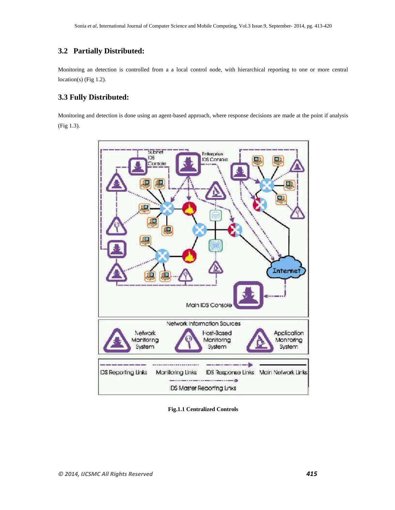# **3.2 Partially Distributed:**

Monitoring an detection is controlled from a a local control node, with hierarchical reporting to one or more central location(s) (Fig 1.2).

# **3.3 Fully Distributed:**

Monitoring and detection is done using an agent-based approach, where response decisions are made at the point if analysis (Fig 1.3).



**Fig.1.1 Centralized Controls**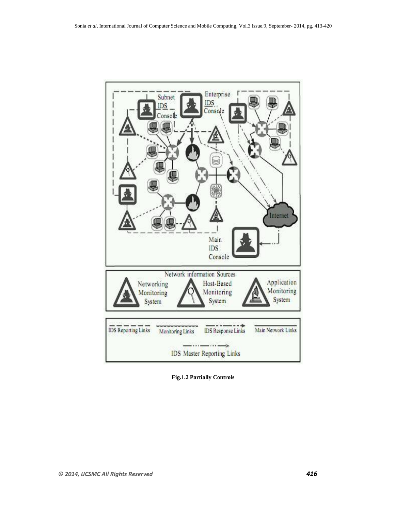

**Fig.1.2 Partially Controls**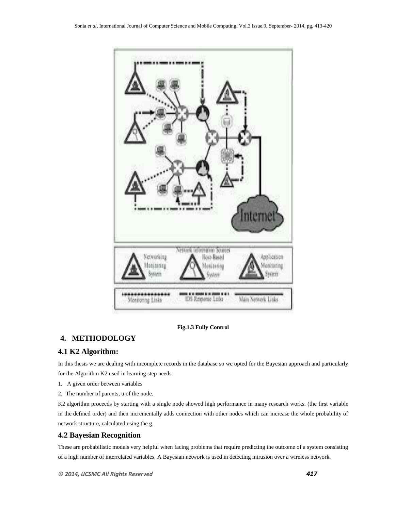

## **Fig.1.3 Fully Control**

# **4. METHODOLOGY**

# **4.1 K2 Algorithm:**

In this thesis we are dealing with incomplete records in the database so we opted for the Bayesian approach and particularly for the Algorithm K2 used in learning step needs:

- 1. A given order between variables
- 2. The number of parents, u of the node.

K2 algorithm proceeds by starting with a single node showed high performance in many research works. (the first variable in the defined order) and then incrementally adds connection with other nodes which can increase the whole probability of network structure, calculated using the g.

# **4.2 Bayesian Recognition**

These are probabilistic models very helpful when facing problems that require predicting the outcome of a system consisting of a high number of interrelated variables. A Bayesian network is used in detecting intrusion over a wireless network.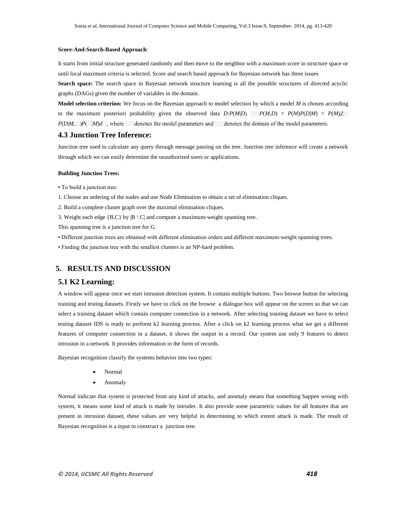#### **Score-And-Search-Based Approach**:

It starts from initial structure generated randomly and then move to the neighbor with a maximum score in structure space or until local maximum criteria is selected. Score and search based approach for Bayesian network has three issues

**Search space:** The search space in Bayesian network structure learning is all the possible structures of directed acyclic graphs (DAGs) given the number of variables in the domain.

**Model selection criterion:** We focus on the Bayesian approach to model selection by which a model *M* is chosen according to the maximum posteriori probability given the observed data  $D: P(M|D) \square P(M,D) = P(M)P(D|M) = P(M)Z\square$  $P(D|M, \Box)P(\Box|M)d\Box$ , where  $\Box$  denotes the model parameters and  $\Box$  denotes the domain of the model parameters.

#### **4.3 Junction Tree Inference:**

Junction tree used to calculate any query through message passing on the tree. Junction tree inference will create a network through which we can easily determine the unauthorized users or applications.

#### **Building Junction Trees:**

• To build a junction tree:

1. Choose an ordering of the nodes and use Node Elimination to obtain a set of elimination cliques.

2. Build a complete cluster graph over the maximal elimination cliques.

3. Weight each edge  ${B, C}$  by  $|B \setminus C|$  and compute a maximum-weight spanning tree.

This spanning tree is a junction tree for G.

• Different junction trees are obtained with different elimination orders and different maximum-weight spanning trees.

• Finding the junction tree with the smallest clusters is an NP-hard problem.

## **5. RESULTS AND DISCUSSION**

#### **5.1 K2 Learning:**

A window will appear once we start intrusion detection system. It contain multiple buttons. Two browse button for selecting training and testing datasets. Firstly we have to click on the browse a dialogue box will appear on the screen so that we can select a training dataset which contain computer connection in a network. After selecting training dataset we have to select testing dataset IDS is ready to perform k2 learning process. After a click on k2 learning process what we get a different features of computer connection in a dataset, it shows the output in a record. Our system use only 9 features to detect intrusion in a network. It provides information in the form of records.

Bayesian recognition classify the systems behavior into two types:

- Normal
- Anomaly

Normal indicate that system is protected from any kind of attacks, and anomaly means that something happen wrong with system, it means some kind of attack is made by intruder. It also provide some parametric values for all features that are present in intrusion dataset, these values are very helpful in determining to which extent attack is made. The result of Bayesian recognition is a input to construct a junction tree.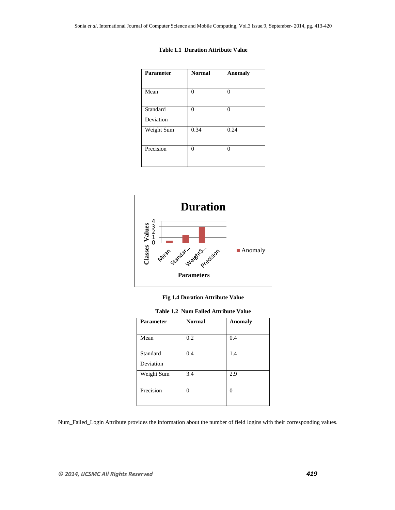| <b>Parameter</b> | <b>Normal</b> | <b>Anomaly</b> |
|------------------|---------------|----------------|
|                  |               |                |
| Mean             | 0             | 0              |
| Standard         | 0             | 0              |
| Deviation        |               |                |
| Weight Sum       | 0.34          | 0.24           |
| Precision        | 0             | $\theta$       |





**Fig 1.4 Duration Attribute Value**

**Table 1.2 Num Failed Attribute Value**

| <b>Parameter</b>      | <b>Normal</b> | <b>Anomaly</b> |
|-----------------------|---------------|----------------|
| Mean                  | 0.2           | 0.4            |
| Standard<br>Deviation | 0.4           | 1.4            |
| Weight Sum            | 3.4           | 2.9            |
| Precision             | 0             | $\Omega$       |

Num\_Failed\_Login Attribute provides the information about the number of field logins with their corresponding values.